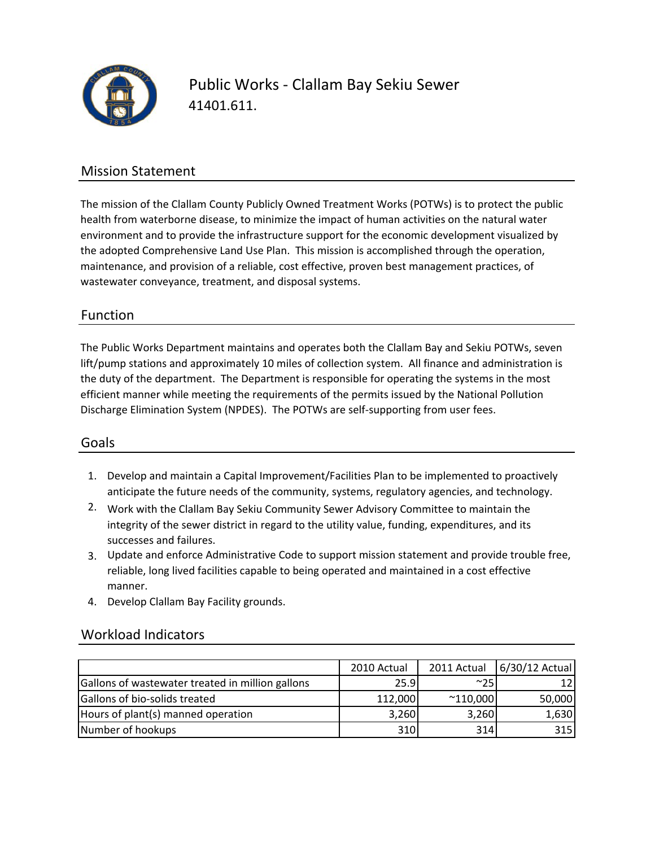

Public Works ‐ Clallam Bay Sekiu Sewer 41401.611.

### Mission Statement

The mission of the Clallam County Publicly Owned Treatment Works (POTWs) is to protect the public health from waterborne disease, to minimize the impact of human activities on the natural water environment and to provide the infrastructure support for the economic development visualized by the adopted Comprehensive Land Use Plan. This mission is accomplished through the operation, maintenance, and provision of a reliable, cost effective, proven best management practices, of wastewater conveyance, treatment, and disposal systems.

### Function

The Public Works Department maintains and operates both the Clallam Bay and Sekiu POTWs, seven lift/pump stations and approximately 10 miles of collection system. All finance and administration is the duty of the department. The Department is responsible for operating the systems in the most efficient manner while meeting the requirements of the permits issued by the National Pollution Discharge Elimination System (NPDES). The POTWs are self‐supporting from user fees.

#### Goals

- 1. Develop and maintain a Capital Improvement/Facilities Plan to be implemented to proactively anticipate the future needs of the community, systems, regulatory agencies, and technology.
- 2. Work with the Clallam Bay Sekiu Community Sewer Advisory Committee to maintain the integrity of the sewer district in regard to the utility value, funding, expenditures, and its successes and failures.
- 3. Update and enforce Administrative Code to support mission statement and provide trouble free, reliable, long lived facilities capable to being operated and maintained in a cost effective manner.
- 4. Develop Clallam Bay Facility grounds.

|                                                  | 2010 Actual | 2011 Actual       | $6/30/12$ Actual |
|--------------------------------------------------|-------------|-------------------|------------------|
|                                                  |             |                   |                  |
| Gallons of wastewater treated in million gallons | 25.9        | ~100              |                  |
| Gallons of bio-solids treated                    | 112,000     | $^{\sim}$ 110,000 | 50,000           |
| Hours of plant(s) manned operation               | 3,260       | 3,260             | 1,630            |
| Number of hookups                                | 310         | 314               | 315              |

#### Workload Indicators